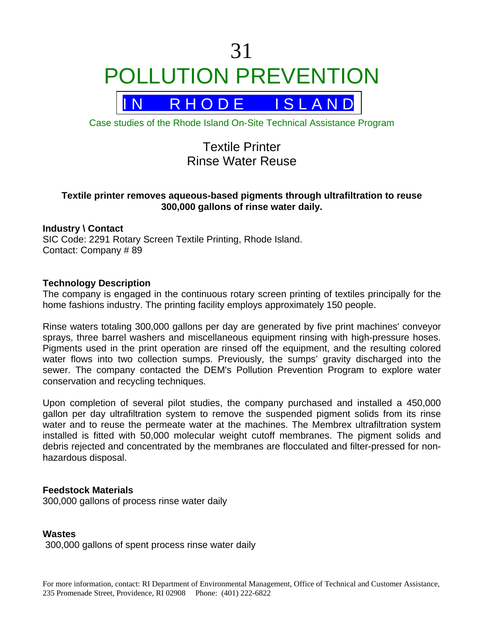# 31 POLLUTION PREVENTION



Case studies of the Rhode Island On-Site Technical Assistance Program

# Textile Printer Rinse Water Reuse

## **Textile printer removes aqueous-based pigments through ultrafiltration to reuse 300,000 gallons of rinse water daily.**

#### **Industry \ Contact**

SIC Code: 2291 Rotary Screen Textile Printing, Rhode Island. Contact: Company # 89

#### **Technology Description**

The company is engaged in the continuous rotary screen printing of textiles principally for the home fashions industry. The printing facility employs approximately 150 people.

Rinse waters totaling 300,000 gallons per day are generated by five print machines' conveyor sprays, three barrel washers and miscellaneous equipment rinsing with high-pressure hoses. Pigments used in the print operation are rinsed off the equipment, and the resulting colored water flows into two collection sumps. Previously, the sumps' gravity discharged into the sewer. The company contacted the DEM's Pollution Prevention Program to explore water conservation and recycling techniques.

Upon completion of several pilot studies, the company purchased and installed a 450,000 gallon per day ultrafiltration system to remove the suspended pigment solids from its rinse water and to reuse the permeate water at the machines. The Membrex ultrafiltration system installed is fitted with 50,000 molecular weight cutoff membranes. The pigment solids and debris rejected and concentrated by the membranes are flocculated and filter-pressed for nonhazardous disposal.

#### **Feedstock Materials**

300,000 gallons of process rinse water daily

#### **Wastes**

300,000 gallons of spent process rinse water daily